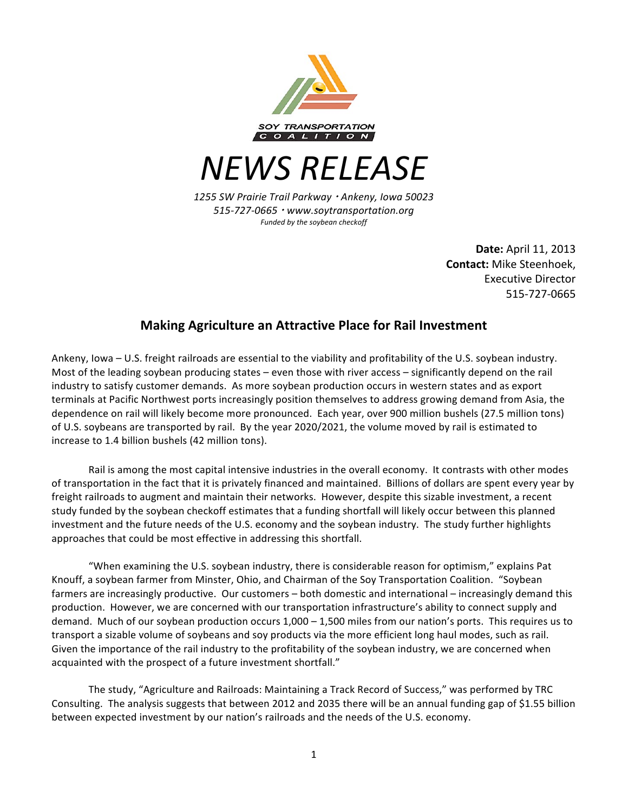

*NEWS RELEASE*

*1255 SW Prairie Trail Parkway Ankeny, Iowa 50023 515-727-0665 www.soytransportation.org* Funded by the soybean checkoff

> **Date:** April 11, 2013 **Contact:** Mike Steenhoek, Executive Director 515-727-0665

## **Making Agriculture an Attractive Place for Rail Investment**

Ankeny, Iowa – U.S. freight railroads are essential to the viability and profitability of the U.S. soybean industry. Most of the leading soybean producing states – even those with river access – significantly depend on the rail industry to satisfy customer demands. As more soybean production occurs in western states and as export terminals at Pacific Northwest ports increasingly position themselves to address growing demand from Asia, the dependence on rail will likely become more pronounced. Each year, over 900 million bushels (27.5 million tons) of U.S. soybeans are transported by rail. By the year 2020/2021, the volume moved by rail is estimated to increase to 1.4 billion bushels (42 million tons).

Rail is among the most capital intensive industries in the overall economy. It contrasts with other modes of transportation in the fact that it is privately financed and maintained. Billions of dollars are spent every year by freight railroads to augment and maintain their networks. However, despite this sizable investment, a recent study funded by the soybean checkoff estimates that a funding shortfall will likely occur between this planned investment and the future needs of the U.S. economy and the soybean industry. The study further highlights approaches that could be most effective in addressing this shortfall.

"When examining the U.S. soybean industry, there is considerable reason for optimism," explains Pat Knouff, a soybean farmer from Minster, Ohio, and Chairman of the Soy Transportation Coalition. "Soybean farmers are increasingly productive. Our customers – both domestic and international – increasingly demand this production. However, we are concerned with our transportation infrastructure's ability to connect supply and demand. Much of our soybean production occurs  $1,000 - 1,500$  miles from our nation's ports. This requires us to transport a sizable volume of soybeans and soy products via the more efficient long haul modes, such as rail. Given the importance of the rail industry to the profitability of the soybean industry, we are concerned when acquainted with the prospect of a future investment shortfall."

The study, "Agriculture and Railroads: Maintaining a Track Record of Success," was performed by TRC Consulting. The analysis suggests that between 2012 and 2035 there will be an annual funding gap of \$1.55 billion between expected investment by our nation's railroads and the needs of the U.S. economy.